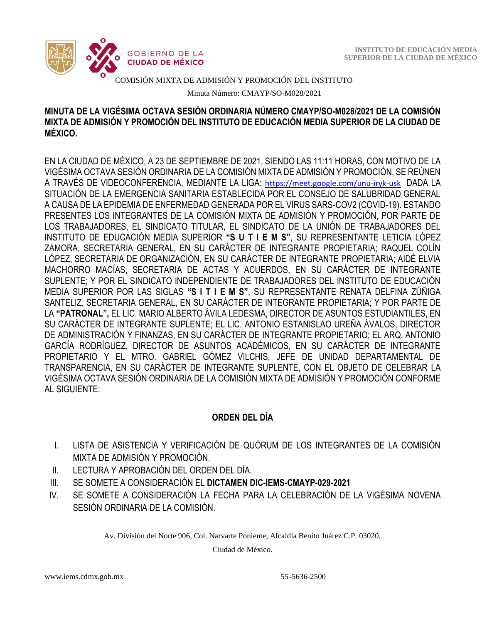

COMISIÓN MIXTA DE ADMISIÓN Y PROMOCIÓN DEL INSTITUTO

Minuta Número: CMAYP/SO-M028/2021

### **MINUTA DE LA VIGÉSIMA OCTAVA SESIÓN ORDINARIA NÚMERO CMAYP/SO-M028/2021 DE LA COMISIÓN MIXTA DE ADMISIÓN Y PROMOCIÓN DEL INSTITUTO DE EDUCACIÓN MEDIA SUPERIOR DE LA CIUDAD DE MÉXICO.**

EN LA CIUDAD DE MÉXICO, A 23 DE SEPTIEMBRE DE 2021, SIENDO LAS 11:11 HORAS, CON MOTIVO DE LA VIGÉSIMA OCTAVA SESIÓN ORDINARIA DE LA COMISIÓN MIXTA DE ADMISIÓN Y PROMOCIÓN, SE REÚNEN A TRAVÉS DE VIDEOCONFERENCIA, MEDIANTE LA LIGA: <https://meet.google.com/unu-iryk-usk> DADA LA SITUACIÓN DE LA EMERGENCIA SANITARIA ESTABLECIDA POR EL CONSEJO DE SALUBRIDAD GENERAL A CAUSA DE LA EPIDEMIA DE ENFERMEDAD GENERADA POR EL VIRUS SARS-COV2 (COVID-19). ESTANDO PRESENTES LOS INTEGRANTES DE LA COMISIÓN MIXTA DE ADMISIÓN Y PROMOCIÓN, POR PARTE DE LOS TRABAJADORES, EL SINDICATO TITULAR, EL SINDICATO DE LA UNIÓN DE TRABAJADORES DEL INSTITUTO DE EDUCACIÓN MEDIA SUPERIOR **"S U T I E M S"**, SU REPRESENTANTE LETICIA LÓPEZ ZAMORA, SECRETARIA GENERAL, EN SU CARÁCTER DE INTEGRANTE PROPIETARIA; RAQUEL COLÍN LÓPEZ, SECRETARIA DE ORGANIZACIÓN, EN SU CARÁCTER DE INTEGRANTE PROPIETARIA; AIDÉ ELVIA MACHORRO MACÍAS, SECRETARIA DE ACTAS Y ACUERDOS, EN SU CARÁCTER DE INTEGRANTE SUPLENTE; Y POR EL SINDICATO INDEPENDIENTE DE TRABAJADORES DEL INSTITUTO DE EDUCACIÓN MEDIA SUPERIOR POR LAS SIGLAS **"S I T I E M S"**, SU REPRESENTANTE RENATA DELFINA ZÚÑIGA SANTELIZ, SECRETARIA GENERAL, EN SU CARÁCTER DE INTEGRANTE PROPIETARIA; Y POR PARTE DE LA **"PATRONAL",** EL LIC. MARIO ALBERTO ÁVILA LEDESMA, DIRECTOR DE ASUNTOS ESTUDIANTILES, EN SU CARÁCTER DE INTEGRANTE SUPLENTE; EL LIC. ANTONIO ESTANISLAO UREÑA ÁVALOS, DIRECTOR DE ADMINISTRACIÓN Y FINANZAS, EN SU CARÁCTER DE INTEGRANTE PROPIETARIO; EL ARQ. ANTONIO GARCÍA RODRÍGUEZ, DIRECTOR DE ASUNTOS ACADÉMICOS, EN SU CARÁCTER DE INTEGRANTE PROPIETARIO Y EL MTRO. GABRIEL GÓMEZ VILCHIS, JEFE DE UNIDAD DEPARTAMENTAL DE TRANSPARENCIA, EN SU CARÁCTER DE INTEGRANTE SUPLENTE, CON EL OBJETO DE CELEBRAR LA VIGÉSIMA OCTAVA SESIÓN ORDINARIA DE LA COMISIÓN MIXTA DE ADMISIÓN Y PROMOCIÓN CONFORME AL SIGUIENTE:

# **ORDEN DEL DÍA**

- I. LISTA DE ASISTENCIA Y VERIFICACIÓN DE QUÓRUM DE LOS INTEGRANTES DE LA COMISIÓN MIXTA DE ADMISIÓN Y PROMOCIÓN.
- II. LECTURA Y APROBACIÓN DEL ORDEN DEL DÍA.
- III. SE SOMETE A CONSIDERACIÓN EL **DICTAMEN DIC-IEMS-CMAYP-029-2021**
- IV. SE SOMETE A CONSIDERACIÓN LA FECHA PARA LA CELEBRACIÓN DE LA VIGÉSIMA NOVENA SESIÓN ORDINARIA DE LA COMISIÓN.

Av. División del Norte 906, Col. Narvarte Poniente, Alcaldía Benito Juárez C.P. 03020,

Ciudad de México.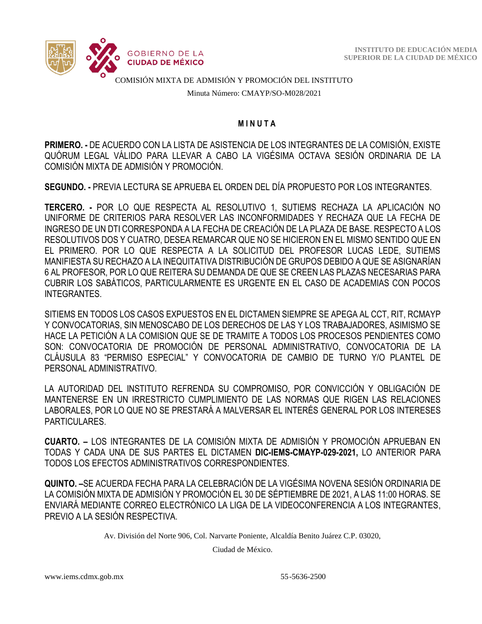

COMISIÓN MIXTA DE ADMISIÓN Y PROMOCIÓN DEL INSTITUTO

Minuta Número: CMAYP/SO-M028/2021

#### **M I N U T A**

**PRIMERO. -** DE ACUERDO CON LA LISTA DE ASISTENCIA DE LOS INTEGRANTES DE LA COMISIÓN, EXISTE QUÓRUM LEGAL VÁLIDO PARA LLEVAR A CABO LA VIGÉSIMA OCTAVA SESIÓN ORDINARIA DE LA COMISIÓN MIXTA DE ADMISIÓN Y PROMOCIÓN.

**SEGUNDO. -** PREVIA LECTURA SE APRUEBA EL ORDEN DEL DÍA PROPUESTO POR LOS INTEGRANTES.

**TERCERO. -** POR LO QUE RESPECTA AL RESOLUTIVO 1, SUTIEMS RECHAZA LA APLICACIÓN NO UNIFORME DE CRITERIOS PARA RESOLVER LAS INCONFORMIDADES Y RECHAZA QUE LA FECHA DE INGRESO DE UN DTI CORRESPONDA A LA FECHA DE CREACIÓN DE LA PLAZA DE BASE. RESPECTO A LOS RESOLUTIVOS DOS Y CUATRO, DESEA REMARCAR QUE NO SE HICIERON EN EL MISMO SENTIDO QUE EN EL PRIMERO. POR LO QUE RESPECTA A LA SOLICITUD DEL PROFESOR LUCAS LEDE, SUTIEMS MANIFIESTA SU RECHAZO A LA INEQUITATIVA DISTRIBUCIÓN DE GRUPOS DEBIDO A QUE SE ASIGNARÍAN 6 AL PROFESOR, POR LO QUE REITERA SU DEMANDA DE QUE SE CREEN LAS PLAZAS NECESARIAS PARA CUBRIR LOS SABÁTICOS, PARTICULARMENTE ES URGENTE EN EL CASO DE ACADEMIAS CON POCOS INTEGRANTES.

SITIEMS EN TODOS LOS CASOS EXPUESTOS EN EL DICTAMEN SIEMPRE SE APEGA AL CCT, RIT, RCMAYP Y CONVOCATORIAS, SIN MENOSCABO DE LOS DERECHOS DE LAS Y LOS TRABAJADORES, ASIMISMO SE HACE LA PETICIÓN A LA COMISION QUE SE DE TRAMITE A TODOS LOS PROCESOS PENDIENTES COMO SON: CONVOCATORIA DE PROMOCIÓN DE PERSONAL ADMINISTRATIVO, CONVOCATORIA DE LA CLÁUSULA 83 "PERMISO ESPECIAL" Y CONVOCATORIA DE CAMBIO DE TURNO Y/O PLANTEL DE PERSONAL ADMINISTRATIVO.

LA AUTORIDAD DEL INSTITUTO REFRENDA SU COMPROMISO, POR CONVICCIÓN Y OBLIGACIÓN DE MANTENERSE EN UN IRRESTRICTO CUMPLIMIENTO DE LAS NORMAS QUE RIGEN LAS RELACIONES LABORALES, POR LO QUE NO SE PRESTARÁ A MALVERSAR EL INTERÉS GENERAL POR LOS INTERESES PARTICULARES.

**CUARTO. –** LOS INTEGRANTES DE LA COMISIÓN MIXTA DE ADMISIÓN Y PROMOCIÓN APRUEBAN EN TODAS Y CADA UNA DE SUS PARTES EL DICTAMEN **DIC-IEMS-CMAYP-029-2021,** LO ANTERIOR PARA TODOS LOS EFECTOS ADMINISTRATIVOS CORRESPONDIENTES.

**QUINTO. –**SE ACUERDA FECHA PARA LA CELEBRACIÓN DE LA VIGÉSIMA NOVENA SESIÓN ORDINARIA DE LA COMISIÓN MIXTA DE ADMISIÓN Y PROMOCIÓN EL 30 DE SÉPTIEMBRE DE 2021, A LAS 11:00 HORAS. SE ENVIARÁ MEDIANTE CORREO ELECTRÓNICO LA LIGA DE LA VIDEOCONFERENCIA A LOS INTEGRANTES, PREVIO A LA SESIÓN RESPECTIVA.

Av. División del Norte 906, Col. Narvarte Poniente, Alcaldía Benito Juárez C.P. 03020,

Ciudad de México.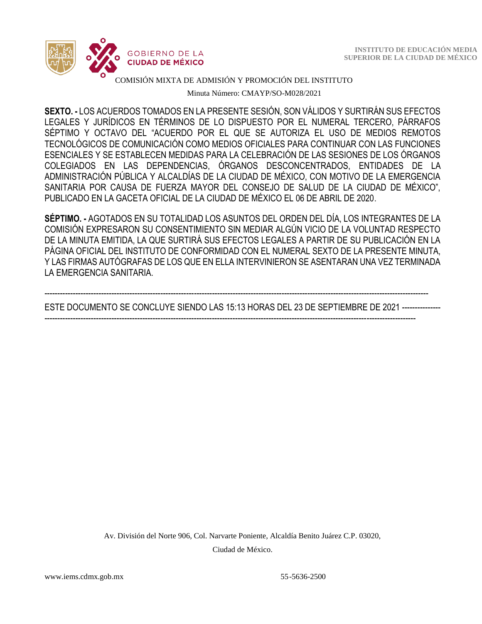

#### COMISIÓN MIXTA DE ADMISIÓN Y PROMOCIÓN DEL INSTITUTO

Minuta Número: CMAYP/SO-M028/2021

 **SEXTO. -** LOS ACUERDOS TOMADOS EN LA PRESENTE SESIÓN, SON VÁLIDOS Y SURTIRÁN SUS EFECTOS LEGALES Y JURÍDICOS EN TÉRMINOS DE LO DISPUESTO POR EL NUMERAL TERCERO, PÁRRAFOS SÉPTIMO Y OCTAVO DEL "ACUERDO POR EL QUE SE AUTORIZA EL USO DE MEDIOS REMOTOS TECNOLÓGICOS DE COMUNICACIÓN COMO MEDIOS OFICIALES PARA CONTINUAR CON LAS FUNCIONES ESENCIALES Y SE ESTABLECEN MEDIDAS PARA LA CELEBRACIÓN DE LAS SESIONES DE LOS ÓRGANOS COLEGIADOS EN LAS DEPENDENCIAS, ÓRGANOS DESCONCENTRADOS, ENTIDADES DE LA ADMINISTRACIÓN PÚBLICA Y ALCALDÍAS DE LA CIUDAD DE MÉXICO, CON MOTIVO DE LA EMERGENCIA SANITARIA POR CAUSA DE FUERZA MAYOR DEL CONSEJO DE SALUD DE LA CIUDAD DE MÉXICO", PUBLICADO EN LA GACETA OFICIAL DE LA CIUDAD DE MÉXICO EL 06 DE ABRIL DE 2020.

**SÉPTIMO. -** AGOTADOS EN SU TOTALIDAD LOS ASUNTOS DEL ORDEN DEL DÍA, LOS INTEGRANTES DE LA COMISIÓN EXPRESARON SU CONSENTIMIENTO SIN MEDIAR ALGÚN VICIO DE LA VOLUNTAD RESPECTO DE LA MINUTA EMITIDA, LA QUE SURTIRÁ SUS EFECTOS LEGALES A PARTIR DE SU PUBLICACIÓN EN LA PÁGINA OFICIAL DEL INSTITUTO DE CONFORMIDAD CON EL NUMERAL SEXTO DE LA PRESENTE MINUTA, Y LAS FIRMAS AUTÓGRAFAS DE LOS QUE EN ELLA INTERVINIERON SE ASENTARAN UNA VEZ TERMINADA LA EMERGENCIA SANITARIA.

-----------------------------------------------------------------------------------------------------------------------------------------------------

ESTE DOCUMENTO SE CONCLUYE SIENDO LAS 15:13 HORAS DEL 23 DE SEPTIEMBRE DE 2021 ---------------

------------------------------------------------------------------------------------------------------------------------------------------------

Av. División del Norte 906, Col. Narvarte Poniente, Alcaldía Benito Juárez C.P. 03020, Ciudad de México.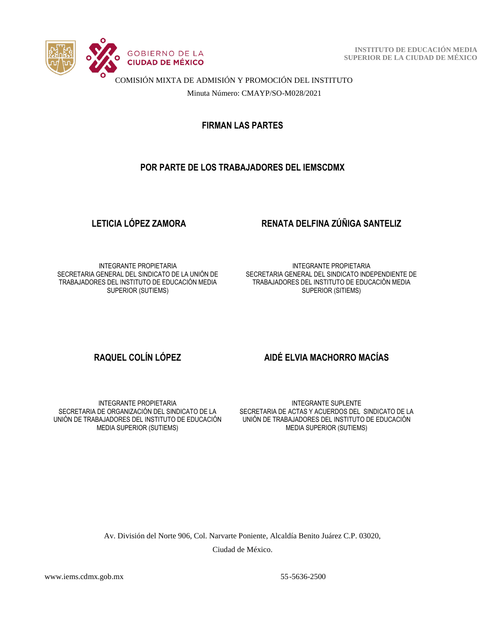

 **INSTITUTO DE EDUCACIÓN MEDIA SUPERIOR DE LA CIUDAD DE MÉXICO**

COMISIÓN MIXTA DE ADMISIÓN Y PROMOCIÓN DEL INSTITUTO

Minuta Número: CMAYP/SO-M028/2021

**FIRMAN LAS PARTES**

#### **POR PARTE DE LOS TRABAJADORES DEL IEMSCDMX**

# **LETICIA LÓPEZ ZAMORA RENATA DELFINA ZÚÑIGA SANTELIZ**

INTEGRANTE PROPIETARIA SECRETARIA GENERAL DEL SINDICATO DE LA UNIÓN DE TRABAJADORES DEL INSTITUTO DE EDUCACIÓN MEDIA SUPERIOR (SUTIEMS)

INTEGRANTE PROPIETARIA SECRETARIA GENERAL DEL SINDICATO INDEPENDIENTE DE TRABAJADORES DEL INSTITUTO DE EDUCACIÓN MEDIA SUPERIOR (SITIEMS)

#### INTEGRANTE PROPIETARIA SECRETARIA DE ORGANIZACIÓN DEL SINDICATO DE LA UNIÓN DE TRABAJADORES DEL INSTITUTO DE EDUCACIÓN MEDIA SUPERIOR (SUTIEMS)

### **RAQUEL COLÍN LÓPEZ AIDÉ ELVIA MACHORRO MACÍAS**

INTEGRANTE SUPLENTE SECRETARIA DE ACTAS Y ACUERDOS DEL SINDICATO DE LA UNIÓN DE TRABAJADORES DEL INSTITUTO DE EDUCACIÓN MEDIA SUPERIOR (SUTIEMS)

Av. División del Norte 906, Col. Narvarte Poniente, Alcaldía Benito Juárez C.P. 03020,

Ciudad de México.